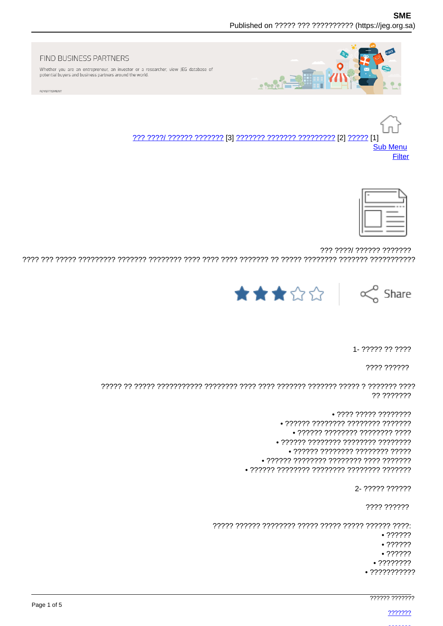

#### FIND BUSINESS PARTNERS

Whether you are an entrepreneur, an investor or a researcher, view JEG database of potential buyers and business partners around the world.

ADVERTISMENT

**Sub Menu** Filter



??? ????/ ?????? ??????? 



1 - 22222 22 2222

???? ??????

?? ???????

> $\bullet$  ???? ????? ???????? • ?????? ???????? ???????? ??????? • ?????? ???????? ???????? ???? • ?????? ???????? ???????? ???????? • ?????? ???????? ???????? ????? • ?????? ???????? ???????? ???? ???????

> > 2- ????? ??????

???? ??????

 $.22222$  $• ? ? ? ? ? ?$ 

 $• 777777$  $• ?? ? ? ? ? ?$  $• ? ? ? ? ? ? ? ? ? ? ? ?$ 

777777 7777777

2222222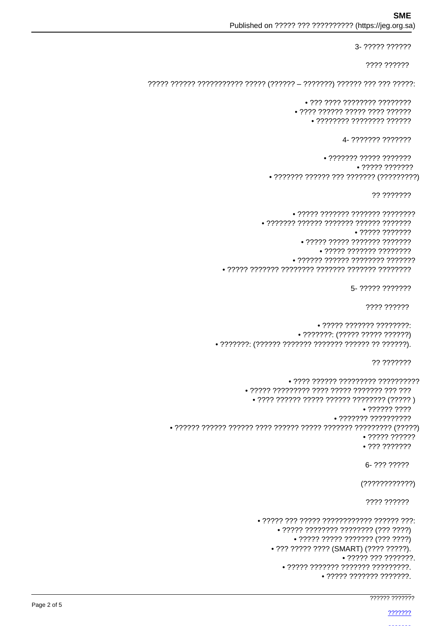## **SMF**

Published on ????? ??? ?????????? (https://jeg.org.sa)

```
7777 777777
```
3- ????? ??????

```
\bullet ??? ???? ???????? ????????
• 2222 222222 22222 2222 222222
    \bullet ???????? ???????? ??????
```

```
4- ??????? ???????
```

```
\bullet ??????? ????? ???????
                          • 77777 7777777\bullet ??????? ?????? ??? ??????? (?????????)
```
?? ???????

```
• ????? ??????? ??????? ????????
       • ??????? ?????? ??????? ?????? ???????
                         • ????? ????? ??????? ???????
                   \bullet ????? ??????? ????????
             • ?????? ?????? ???????? ???????
```

```
5- ????? ???????
```

```
???? ??????
```

```
\bullet ????? ??????? ????????:
              \bullet ???????: (????? ????? ??????)
```
?? ???????

```
• ???? ?????? ????????? ??????????
                  • ????? ????????? ???? ????? ??????? ??? ???
                    • ???? ?????? ????? ?????? ???????? (????? )
                                               .77777777777.277777777777777777799• ? ? ? ? ? ? ? ? ? ? ?• 777 77777776- ??? ?????
                                              (?????????????)???? ??????
                     • ????? ??? ????? ???????????? ?????? ???:
                          \bullet ????? ???????? ???????? (??? ????)
                              • ????? ????? ??????? (??? ????)
                        • ??? ????? ???? (SMART) (???? ?????).
                                          \bullet ????? ??? ???????.
                           • ????? ??????? ??????? ?????????.
```

```
\bullet ????? ??????? ???????.
```

```
777777 777777
```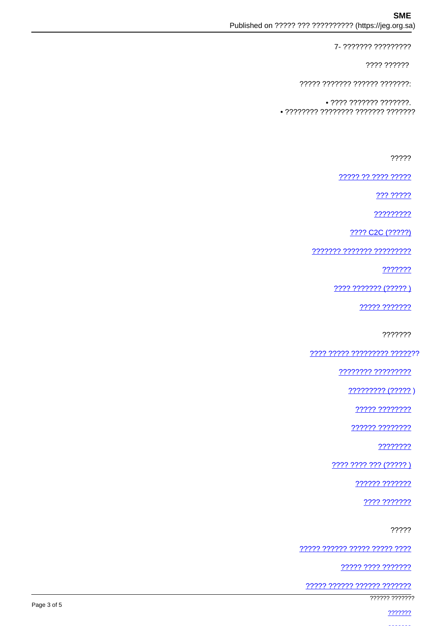## **SME**

Published on ????? ??? ?????????? (https://jeg.org.sa)

7- ??????? ?????????

???? ??????

????? ??????? ?????? ???????

 $\bullet$  ???? ??????? ???????. • ???????? ???????? ??????? ???????

?????

????? ?? ???? ?????

??? ?????

?????????

2222 C2C (22222)

??????? ??????? ?????????

???????

???? ??????? (????? )

????? ???????

???????

<u> ???? ????? ????????? ??????</u>?

???????? ?????????

????????? (?????)

????? ????????

?????? ????????

????????

<u>???? ???? ??? (????? )</u>

?????? ???????

???? ???????

?????

????? ?????? ????? ????? ????

????? ???? ???????

<u> ????? ?????? ?????? ????????</u>

777777 7777777

2222222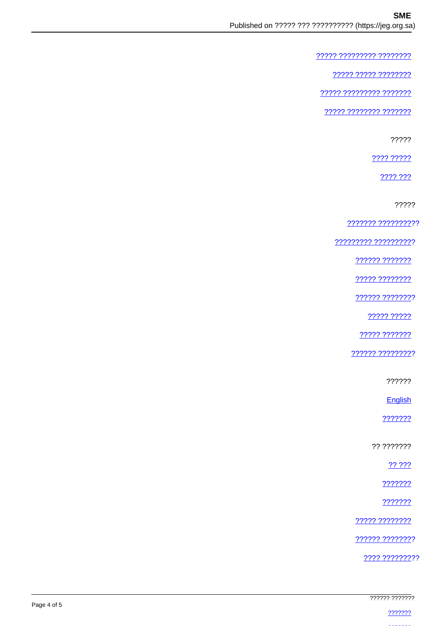????? ????????? ????????

<u> ????? ????? ????????</u>

22222 222222222 2222222

<u> ????? ???????? ????????</u>

?????

???? ?????

???? ???

?????

<u>??????? ??????????</u>?

77777777 7777777777

?????? ???????

????? ????????

?????? ????????

22222 22222

????? ???????

?????? ?????????

??????

English

???????

?? ???????

22.222

???????

???????

22222 22222222

?????? ????????

???? ?????????

|             | ?????? ???????              |
|-------------|-----------------------------|
| Page 4 of 5 |                             |
|             | <u>_ ഹാറാറാ</u><br><u>.</u> |
|             |                             |